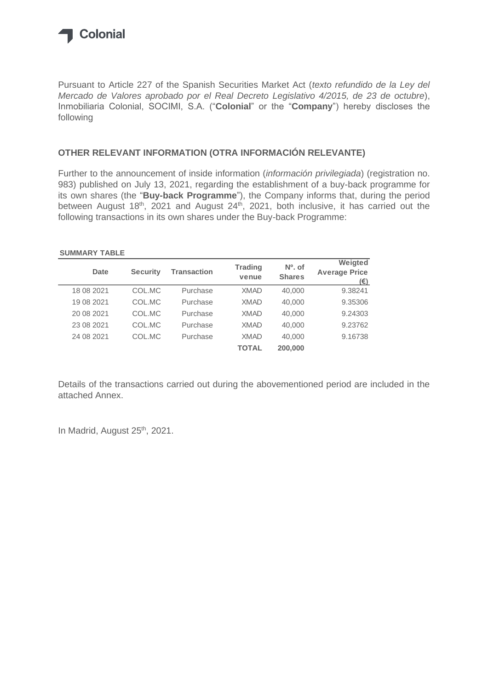

Pursuant to Article 227 of the Spanish Securities Market Act (*texto refundido de la Ley del Mercado de Valores aprobado por el Real Decreto Legislativo 4/2015, de 23 de octubre*), Inmobiliaria Colonial, SOCIMI, S.A. ("**Colonial**" or the "**Company**") hereby discloses the following

### **OTHER RELEVANT INFORMATION (OTRA INFORMACIÓN RELEVANTE)**

Further to the announcement of inside information (*información privilegiada*) (registration no. 983) published on July 13, 2021, regarding the establishment of a buy-back programme for its own shares (the "**Buy-back Programme**"), the Company informs that, during the period between August 18<sup>th</sup>, 2021 and August 24<sup>th</sup>, 2021, both inclusive, it has carried out the following transactions in its own shares under the Buy-back Programme:

#### **SUMMARY TABLE**

| Date       | <b>Security</b> | <b>Transaction</b> | <b>Trading</b><br>venue | $N0$ , of<br><b>Shares</b> | Weigted<br><b>Average Price</b><br>(€) |
|------------|-----------------|--------------------|-------------------------|----------------------------|----------------------------------------|
| 18 08 2021 | COL.MC          | Purchase           | <b>XMAD</b>             | 40,000                     | 9.38241                                |
| 19 08 2021 | COL.MC          | Purchase           | <b>XMAD</b>             | 40,000                     | 9.35306                                |
| 20 08 2021 | COL.MC          | Purchase           | <b>XMAD</b>             | 40,000                     | 9.24303                                |
| 23 08 2021 | COL.MC          | Purchase           | <b>XMAD</b>             | 40,000                     | 9.23762                                |
| 24 08 2021 | COL.MC          | Purchase           | <b>XMAD</b>             | 40,000                     | 9.16738                                |
|            |                 |                    | TOTAL                   | 200,000                    |                                        |

Details of the transactions carried out during the abovementioned period are included in the attached Annex.

In Madrid, August 25<sup>th</sup>, 2021.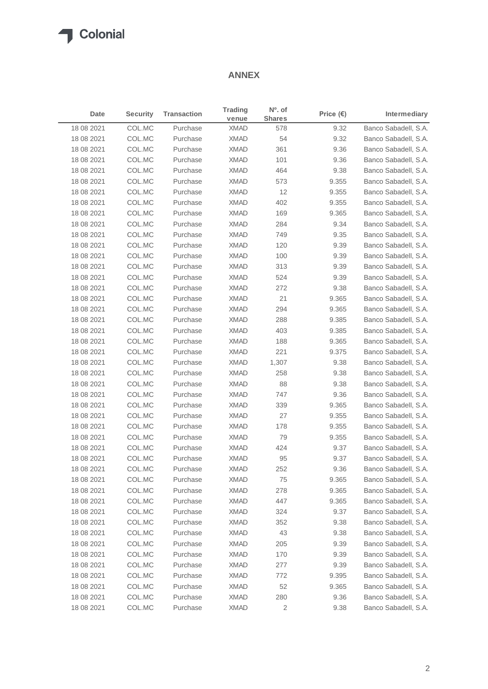### **ANNEX**

| Date       | <b>Security</b> | <b>Transaction</b> | <b>Trading</b><br>venue | Nº. of<br><b>Shares</b> | Price $(\epsilon)$ | <b>Intermediary</b>  |
|------------|-----------------|--------------------|-------------------------|-------------------------|--------------------|----------------------|
| 18 08 2021 | COL.MC          | Purchase           | <b>XMAD</b>             | 578                     | 9.32               | Banco Sabadell, S.A. |
| 18 08 2021 | COL.MC          | Purchase           | <b>XMAD</b>             | 54                      | 9.32               | Banco Sabadell, S.A. |
| 18 08 2021 | COL.MC          | Purchase           | <b>XMAD</b>             | 361                     | 9.36               | Banco Sabadell, S.A. |
| 18 08 2021 | COL.MC          | Purchase           | <b>XMAD</b>             | 101                     | 9.36               | Banco Sabadell, S.A. |
| 18 08 2021 | COL.MC          | Purchase           | <b>XMAD</b>             | 464                     | 9.38               | Banco Sabadell, S.A. |
| 18 08 2021 | COL.MC          | Purchase           | <b>XMAD</b>             | 573                     | 9.355              | Banco Sabadell, S.A. |
| 18 08 2021 | COL.MC          | Purchase           | <b>XMAD</b>             | 12                      | 9.355              | Banco Sabadell, S.A. |
| 18 08 2021 | COL.MC          | Purchase           | <b>XMAD</b>             | 402                     | 9.355              | Banco Sabadell, S.A. |
| 18 08 2021 | COL.MC          | Purchase           | <b>XMAD</b>             | 169                     | 9.365              | Banco Sabadell, S.A. |
| 18 08 2021 | COL.MC          | Purchase           | <b>XMAD</b>             | 284                     | 9.34               | Banco Sabadell, S.A. |
| 18 08 2021 | COL.MC          | Purchase           | <b>XMAD</b>             | 749                     | 9.35               | Banco Sabadell, S.A. |
| 18 08 2021 | COL.MC          | Purchase           | <b>XMAD</b>             | 120                     | 9.39               | Banco Sabadell, S.A. |
| 18 08 2021 | COL.MC          | Purchase           | <b>XMAD</b>             | 100                     | 9.39               | Banco Sabadell, S.A. |
| 18 08 2021 | COL.MC          | Purchase           | <b>XMAD</b>             | 313                     | 9.39               | Banco Sabadell, S.A. |
| 18 08 2021 | COL.MC          | Purchase           | <b>XMAD</b>             | 524                     | 9.39               | Banco Sabadell, S.A. |
| 18 08 2021 | COL.MC          | Purchase           | <b>XMAD</b>             | 272                     | 9.38               | Banco Sabadell, S.A. |
| 18 08 2021 | COL.MC          | Purchase           | <b>XMAD</b>             | 21                      | 9.365              | Banco Sabadell, S.A. |
| 18 08 2021 | COL.MC          | Purchase           | <b>XMAD</b>             | 294                     | 9.365              | Banco Sabadell, S.A. |
| 18 08 2021 | COL.MC          | Purchase           | <b>XMAD</b>             | 288                     | 9.385              | Banco Sabadell, S.A. |
| 18 08 2021 | COL.MC          | Purchase           | <b>XMAD</b>             | 403                     | 9.385              | Banco Sabadell, S.A. |
| 18 08 2021 | COL.MC          | Purchase           | <b>XMAD</b>             | 188                     | 9.365              | Banco Sabadell, S.A. |
| 18 08 2021 | COL.MC          | Purchase           | XMAD                    | 221                     | 9.375              | Banco Sabadell, S.A. |
| 18 08 2021 | COL.MC          | Purchase           | <b>XMAD</b>             | 1,307                   | 9.38               | Banco Sabadell, S.A. |
| 18 08 2021 | COL.MC          | Purchase           | <b>XMAD</b>             | 258                     | 9.38               | Banco Sabadell, S.A. |
| 18 08 2021 | COL.MC          | Purchase           | <b>XMAD</b>             | 88                      | 9.38               | Banco Sabadell, S.A. |
| 18 08 2021 | COL.MC          | Purchase           | <b>XMAD</b>             | 747                     | 9.36               | Banco Sabadell, S.A. |
| 18 08 2021 | COL.MC          | Purchase           | <b>XMAD</b>             | 339                     | 9.365              | Banco Sabadell, S.A. |
| 18 08 2021 | COL.MC          | Purchase           | <b>XMAD</b>             | 27                      | 9.355              | Banco Sabadell, S.A. |
| 18 08 2021 | COL.MC          | Purchase           | XMAD                    | 178                     | 9.355              | Banco Sabadell, S.A. |
| 18 08 2021 | COL.MC          | Purchase           | <b>XMAD</b>             | 79                      | 9.355              | Banco Sabadell, S.A. |
| 18 08 2021 | COL.MC          | Purchase           | <b>XMAD</b>             | 424                     | 9.37               | Banco Sabadell, S.A. |
| 18 08 2021 | COL.MC          | Purchase           | <b>XMAD</b>             | 95                      | 9.37               | Banco Sabadell, S.A. |
| 18 08 2021 | COL.MC          | Purchase           | <b>XMAD</b>             | 252                     | 9.36               | Banco Sabadell, S.A. |
| 18 08 2021 | COL.MC          | Purchase           | XMAD                    | 75                      | 9.365              | Banco Sabadell, S.A. |
| 18 08 2021 | COL.MC          | Purchase           | XMAD                    | 278                     | 9.365              | Banco Sabadell, S.A. |
| 18 08 2021 | COL.MC          | Purchase           | XMAD                    | 447                     | 9.365              | Banco Sabadell, S.A. |
| 18 08 2021 | COL.MC          | Purchase           | <b>XMAD</b>             | 324                     | 9.37               | Banco Sabadell, S.A. |
| 18 08 2021 | COL.MC          | Purchase           | XMAD                    | 352                     | 9.38               | Banco Sabadell, S.A. |
| 18 08 2021 | COL.MC          | Purchase           | XMAD                    | 43                      | 9.38               | Banco Sabadell, S.A. |
| 18 08 2021 | COL.MC          | Purchase           | XMAD                    | 205                     | 9.39               | Banco Sabadell, S.A. |
| 18 08 2021 | COL.MC          | Purchase           | XMAD                    | 170                     | 9.39               | Banco Sabadell, S.A. |
| 18 08 2021 | COL.MC          | Purchase           | XMAD                    | 277                     | 9.39               | Banco Sabadell, S.A. |
| 18 08 2021 | COL.MC          | Purchase           | XMAD                    | 772                     | 9.395              | Banco Sabadell, S.A. |
| 18 08 2021 | COL.MC          | Purchase           | XMAD                    | 52                      | 9.365              | Banco Sabadell, S.A. |
| 18 08 2021 | COL.MC          | Purchase           | XMAD                    | 280                     | 9.36               | Banco Sabadell, S.A. |
| 18 08 2021 | COL.MC          | Purchase           | <b>XMAD</b>             | $\overline{c}$          | 9.38               | Banco Sabadell, S.A. |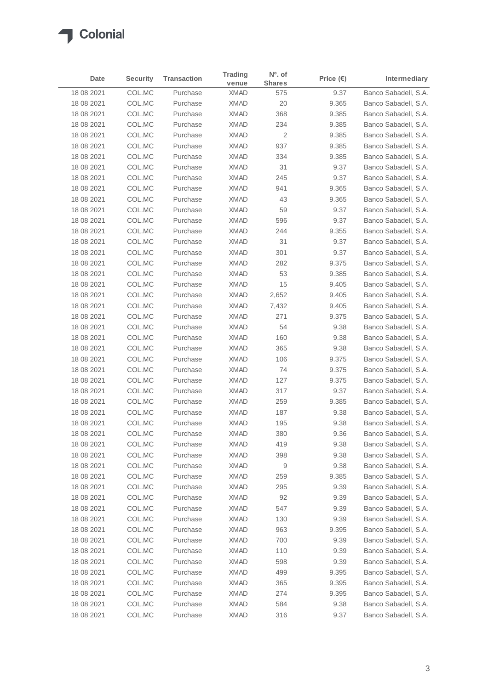| Date       | <b>Security</b> | <b>Transaction</b> | Trading     | $No$ . of     | Price $(\epsilon)$ | Intermediary         |
|------------|-----------------|--------------------|-------------|---------------|--------------------|----------------------|
|            |                 |                    | venue       | <b>Shares</b> |                    |                      |
| 18 08 2021 | COL.MC          | Purchase           | <b>XMAD</b> | 575           | 9.37               | Banco Sabadell, S.A. |
| 18 08 2021 | COL.MC          | Purchase           | <b>XMAD</b> | 20            | 9.365              | Banco Sabadell, S.A. |
| 18 08 2021 | COL.MC          | Purchase           | <b>XMAD</b> | 368           | 9.385              | Banco Sabadell, S.A. |
| 18 08 2021 | COL.MC          | Purchase           | <b>XMAD</b> | 234           | 9.385              | Banco Sabadell, S.A. |
| 18 08 2021 | COL.MC          | Purchase           | <b>XMAD</b> | 2             | 9.385              | Banco Sabadell, S.A. |
| 18 08 2021 | COL.MC          | Purchase           | <b>XMAD</b> | 937           | 9.385              | Banco Sabadell, S.A. |
| 18 08 2021 | COL.MC          | Purchase           | <b>XMAD</b> | 334           | 9.385              | Banco Sabadell, S.A. |
| 18 08 2021 | COL.MC          | Purchase           | <b>XMAD</b> | 31            | 9.37               | Banco Sabadell, S.A. |
| 18 08 2021 | COL.MC          | Purchase           | <b>XMAD</b> | 245           | 9.37               | Banco Sabadell, S.A. |
| 18 08 2021 | COL.MC          | Purchase           | <b>XMAD</b> | 941           | 9.365              | Banco Sabadell, S.A. |
| 18 08 2021 | COL.MC          | Purchase           | <b>XMAD</b> | 43            | 9.365              | Banco Sabadell, S.A. |
| 18 08 2021 | COL.MC          | Purchase           | <b>XMAD</b> | 59            | 9.37               | Banco Sabadell, S.A. |
| 18 08 2021 | COL.MC          | Purchase           | <b>XMAD</b> | 596           | 9.37               | Banco Sabadell, S.A. |
| 18 08 2021 | COL.MC          | Purchase           | <b>XMAD</b> | 244           | 9.355              | Banco Sabadell, S.A. |
| 18 08 2021 | COL.MC          | Purchase           | <b>XMAD</b> | 31            | 9.37               | Banco Sabadell, S.A. |
| 18 08 2021 | COL.MC          | Purchase           | <b>XMAD</b> | 301           | 9.37               | Banco Sabadell, S.A. |
| 18 08 2021 | COL.MC          | Purchase           | <b>XMAD</b> | 282           | 9.375              | Banco Sabadell, S.A. |
| 18 08 2021 | COL.MC          | Purchase           | <b>XMAD</b> | 53            | 9.385              | Banco Sabadell, S.A. |
| 18 08 2021 | COL.MC          | Purchase           | <b>XMAD</b> | 15            | 9.405              | Banco Sabadell, S.A. |
| 18 08 2021 | COL.MC          | Purchase           | <b>XMAD</b> | 2,652         | 9.405              | Banco Sabadell, S.A. |
| 18 08 2021 | COL.MC          | Purchase           | <b>XMAD</b> | 7,432         | 9.405              | Banco Sabadell, S.A. |
| 18 08 2021 | COL.MC          | Purchase           | <b>XMAD</b> | 271           | 9.375              | Banco Sabadell, S.A. |
| 18 08 2021 | COL.MC          | Purchase           | <b>XMAD</b> | 54            | 9.38               | Banco Sabadell, S.A. |
| 18 08 2021 | COL.MC          | Purchase           | <b>XMAD</b> | 160           | 9.38               | Banco Sabadell, S.A. |
| 18 08 2021 | COL.MC          | Purchase           | <b>XMAD</b> | 365           | 9.38               | Banco Sabadell, S.A. |
| 18 08 2021 | COL.MC          | Purchase           | <b>XMAD</b> | 106           | 9.375              | Banco Sabadell, S.A. |
| 18 08 2021 | COL.MC          | Purchase           | <b>XMAD</b> | 74            | 9.375              | Banco Sabadell, S.A. |
| 18 08 2021 | COL.MC          | Purchase           | <b>XMAD</b> | 127           | 9.375              | Banco Sabadell, S.A. |
| 18 08 2021 | COL.MC          | Purchase           | <b>XMAD</b> | 317           | 9.37               | Banco Sabadell, S.A. |
| 18 08 2021 | COL.MC          | Purchase           | <b>XMAD</b> | 259           | 9.385              | Banco Sabadell, S.A. |
| 18 08 2021 | COL.MC          | Purchase           | <b>XMAD</b> | 187           | 9.38               | Banco Sabadell, S.A. |
| 18 08 2021 | COL.MC          | Purchase           | <b>XMAD</b> | 195           | 9.38               | Banco Sabadell, S.A. |
| 18 08 2021 | COL.MC          | Purchase           | <b>XMAD</b> | 380           | 9.36               | Banco Sabadell, S.A. |
| 18 08 2021 | COL.MC          | Purchase           | XMAD        | 419           | 9.38               | Banco Sabadell, S.A. |
| 18 08 2021 | COL.MC          | Purchase           | XMAD        | 398           | 9.38               | Banco Sabadell, S.A. |
| 18 08 2021 | COL.MC          | Purchase           | XMAD        | 9             | 9.38               | Banco Sabadell, S.A. |
| 18 08 2021 | COL.MC          | Purchase           | XMAD        | 259           | 9.385              | Banco Sabadell, S.A. |
| 18 08 2021 | COL.MC          | Purchase           | XMAD        | 295           | 9.39               | Banco Sabadell, S.A. |
| 18 08 2021 | COL.MC          | Purchase           | XMAD        | 92            | 9.39               | Banco Sabadell, S.A. |
| 18 08 2021 | COL.MC          | Purchase           | XMAD        | 547           | 9.39               | Banco Sabadell, S.A. |
| 18 08 2021 | COL.MC          | Purchase           | XMAD        | 130           | 9.39               | Banco Sabadell, S.A. |
| 18 08 2021 | COL.MC          | Purchase           | XMAD        | 963           | 9.395              | Banco Sabadell, S.A. |
| 18 08 2021 | COL.MC          | Purchase           | XMAD        | 700           | 9.39               | Banco Sabadell, S.A. |
| 18 08 2021 | COL.MC          | Purchase           | XMAD        | 110           | 9.39               | Banco Sabadell, S.A. |
| 18 08 2021 | COL.MC          | Purchase           | <b>XMAD</b> | 598           | 9.39               | Banco Sabadell, S.A. |
| 18 08 2021 | COL.MC          | Purchase           | XMAD        | 499           | 9.395              | Banco Sabadell, S.A. |
| 18 08 2021 | COL.MC          | Purchase           | XMAD        | 365           | 9.395              | Banco Sabadell, S.A. |
| 18 08 2021 | COL.MC          | Purchase           | XMAD        | 274           | 9.395              | Banco Sabadell, S.A. |
| 18 08 2021 | COL.MC          | Purchase           | XMAD        | 584           | 9.38               | Banco Sabadell, S.A. |
| 18 08 2021 | COL.MC          | Purchase           | XMAD        | 316           | 9.37               | Banco Sabadell, S.A. |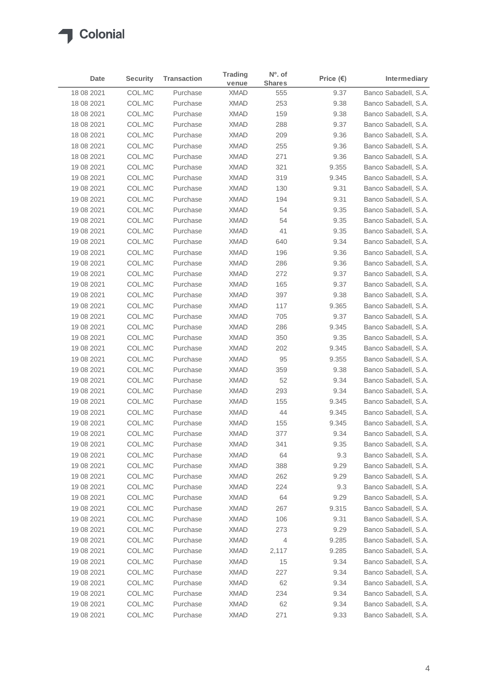# Colonial

| <b>Date</b> | <b>Security</b> | <b>Transaction</b> | <b>Trading</b><br>venue | Nº. of<br><b>Shares</b> | Price $(\epsilon)$ | <b>Intermediary</b>  |
|-------------|-----------------|--------------------|-------------------------|-------------------------|--------------------|----------------------|
| 18 08 2021  | COL.MC          | Purchase           | <b>XMAD</b>             | 555                     | 9.37               | Banco Sabadell, S.A. |
| 18 08 2021  | COL.MC          | Purchase           | <b>XMAD</b>             | 253                     | 9.38               | Banco Sabadell, S.A. |
| 18 08 2021  | COL.MC          | Purchase           | <b>XMAD</b>             | 159                     | 9.38               | Banco Sabadell, S.A. |
| 18 08 2021  | COL.MC          | Purchase           | <b>XMAD</b>             | 288                     | 9.37               | Banco Sabadell, S.A. |
| 18 08 2021  | COL.MC          | Purchase           | <b>XMAD</b>             | 209                     | 9.36               | Banco Sabadell, S.A. |
| 18 08 2021  | COL.MC          | Purchase           | <b>XMAD</b>             | 255                     | 9.36               | Banco Sabadell, S.A. |
| 18 08 2021  | COL.MC          | Purchase           | <b>XMAD</b>             | 271                     | 9.36               | Banco Sabadell, S.A. |
| 19 08 2021  | COL.MC          | Purchase           | <b>XMAD</b>             | 321                     | 9.355              | Banco Sabadell, S.A. |
| 19 08 2021  | COL.MC          | Purchase           | <b>XMAD</b>             | 319                     | 9.345              | Banco Sabadell, S.A. |
| 19 08 2021  | COL.MC          | Purchase           | <b>XMAD</b>             | 130                     | 9.31               | Banco Sabadell, S.A. |
| 19 08 2021  | COL.MC          | Purchase           | <b>XMAD</b>             | 194                     | 9.31               | Banco Sabadell, S.A. |
| 19 08 2021  | COL.MC          | Purchase           | <b>XMAD</b>             | 54                      | 9.35               | Banco Sabadell, S.A. |
| 19 08 2021  | COL.MC          | Purchase           | <b>XMAD</b>             | 54                      | 9.35               | Banco Sabadell, S.A. |
| 19 08 2021  | COL.MC          | Purchase           | <b>XMAD</b>             | 41                      | 9.35               | Banco Sabadell, S.A. |
| 19 08 2021  | COL.MC          | Purchase           | <b>XMAD</b>             | 640                     | 9.34               | Banco Sabadell, S.A. |
| 19 08 2021  | COL.MC          | Purchase           | <b>XMAD</b>             | 196                     | 9.36               | Banco Sabadell, S.A. |
| 19 08 2021  | COL.MC          | Purchase           | <b>XMAD</b>             | 286                     | 9.36               | Banco Sabadell, S.A. |
| 19 08 2021  | COL.MC          | Purchase           | <b>XMAD</b>             | 272                     | 9.37               | Banco Sabadell, S.A. |
| 19 08 2021  | COL.MC          | Purchase           | <b>XMAD</b>             | 165                     | 9.37               | Banco Sabadell, S.A. |
| 19 08 2021  | COL.MC          | Purchase           | <b>XMAD</b>             | 397                     | 9.38               | Banco Sabadell, S.A. |
| 19 08 2021  | COL.MC          | Purchase           | <b>XMAD</b>             | 117                     | 9.365              | Banco Sabadell, S.A. |
| 19 08 2021  | COL.MC          | Purchase           | <b>XMAD</b>             | 705                     | 9.37               | Banco Sabadell, S.A. |
| 19 08 2021  | COL.MC          | Purchase           | <b>XMAD</b>             | 286                     | 9.345              | Banco Sabadell, S.A. |
| 19 08 2021  | COL.MC          | Purchase           | <b>XMAD</b>             | 350                     | 9.35               | Banco Sabadell, S.A. |
| 19 08 2021  | COL.MC          | Purchase           | <b>XMAD</b>             | 202                     | 9.345              | Banco Sabadell, S.A. |
| 19 08 2021  | COL.MC          | Purchase           | <b>XMAD</b>             | 95                      | 9.355              | Banco Sabadell, S.A. |
| 19 08 2021  | COL.MC          | Purchase           | <b>XMAD</b>             | 359                     | 9.38               | Banco Sabadell, S.A. |
| 19 08 2021  | COL.MC          | Purchase           | <b>XMAD</b>             | 52                      | 9.34               | Banco Sabadell, S.A. |
| 19 08 2021  | COL.MC          | Purchase           | <b>XMAD</b>             | 293                     | 9.34               | Banco Sabadell, S.A. |
| 19 08 2021  | COL.MC          | Purchase           | <b>XMAD</b>             | 155                     | 9.345              | Banco Sabadell, S.A. |
| 19 08 2021  | COL.MC          | Purchase           | <b>XMAD</b>             | 44                      | 9.345              | Banco Sabadell, S.A. |
| 19 08 2021  | COL.MC          | Purchase           | <b>XMAD</b>             | 155                     | 9.345              | Banco Sabadell, S.A. |
| 19 08 2021  | COL.MC          | Purchase           | XMAD                    | 377                     | 9.34               | Banco Sabadell, S.A. |
| 19 08 2021  | COL.MC          | Purchase           | <b>XMAD</b>             | 341                     | 9.35               | Banco Sabadell, S.A. |
| 19 08 2021  | COL.MC          | Purchase           | <b>XMAD</b>             | 64                      | 9.3                | Banco Sabadell, S.A. |
| 19 08 2021  | COL.MC          | Purchase           | XMAD                    | 388                     | 9.29               | Banco Sabadell, S.A. |
| 19 08 2021  | COL.MC          | Purchase           | XMAD                    | 262                     | 9.29               | Banco Sabadell, S.A. |
| 19 08 2021  | COL.MC          | Purchase           | XMAD                    | 224                     | 9.3                | Banco Sabadell, S.A. |
| 19 08 2021  | COL.MC          | Purchase           | XMAD                    | 64                      | 9.29               | Banco Sabadell, S.A. |
| 19 08 2021  | COL.MC          | Purchase           | XMAD                    | 267                     | 9.315              | Banco Sabadell, S.A. |
| 19 08 2021  | COL.MC          | Purchase           | XMAD                    | 106                     | 9.31               | Banco Sabadell, S.A. |
| 19 08 2021  | COL.MC          | Purchase           | XMAD                    | 273                     | 9.29               | Banco Sabadell, S.A. |
| 19 08 2021  | COL.MC          | Purchase           | XMAD                    | 4                       | 9.285              | Banco Sabadell, S.A. |
| 19 08 2021  | COL.MC          | Purchase           | XMAD                    | 2,117                   | 9.285              | Banco Sabadell, S.A. |
| 19 08 2021  | COL.MC          | Purchase           | XMAD                    | 15                      | 9.34               | Banco Sabadell, S.A. |
| 19 08 2021  | COL.MC          | Purchase           | XMAD                    | 227                     | 9.34               | Banco Sabadell, S.A. |
| 19 08 2021  | COL.MC          | Purchase           | XMAD                    | 62                      | 9.34               | Banco Sabadell, S.A. |
| 19 08 2021  | COL.MC          | Purchase           | XMAD                    | 234                     | 9.34               | Banco Sabadell, S.A. |
| 19 08 2021  | COL.MC          | Purchase           | XMAD                    | 62                      | 9.34               | Banco Sabadell, S.A. |
| 19 08 2021  | COL.MC          | Purchase           | <b>XMAD</b>             | 271                     | 9.33               | Banco Sabadell, S.A. |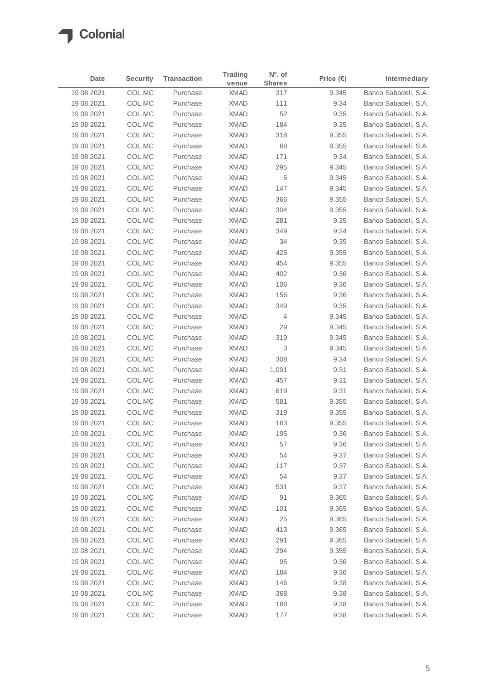|             |                 |                    | <b>Trading</b> | $No$ . of      |                    |                      |
|-------------|-----------------|--------------------|----------------|----------------|--------------------|----------------------|
| <b>Date</b> | <b>Security</b> | <b>Transaction</b> | venue          | <b>Shares</b>  | Price $(\epsilon)$ | Intermediary         |
| 19 08 2021  | COL.MC          | Purchase           | <b>XMAD</b>    | 317            | 9.345              | Banco Sabadell, S.A. |
| 19 08 2021  | COL.MC          | Purchase           | <b>XMAD</b>    | 111            | 9.34               | Banco Sabadell, S.A. |
| 19 08 2021  | COL.MC          | Purchase           | <b>XMAD</b>    | 52             | 9.35               | Banco Sabadell, S.A. |
| 19 08 2021  | COL.MC          | Purchase           | <b>XMAD</b>    | 184            | 9.35               | Banco Sabadell, S.A. |
| 19 08 2021  | COL.MC          | Purchase           | <b>XMAD</b>    | 318            | 9.355              | Banco Sabadell, S.A. |
| 19 08 2021  | COL.MC          | Purchase           | <b>XMAD</b>    | 68             | 9.355              | Banco Sabadell, S.A. |
| 19 08 2021  | COL.MC          | Purchase           | <b>XMAD</b>    | 171            | 9.34               | Banco Sabadell, S.A. |
| 19 08 2021  | COL.MC          | Purchase           | <b>XMAD</b>    | 295            | 9.345              | Banco Sabadell, S.A. |
| 19 08 2021  | COL.MC          | Purchase           | <b>XMAD</b>    | 5              | 9.345              | Banco Sabadell, S.A. |
| 19 08 2021  | COL.MC          | Purchase           | <b>XMAD</b>    | 147            | 9.345              | Banco Sabadell, S.A. |
| 19 08 2021  | COL.MC          | Purchase           | <b>XMAD</b>    | 366            | 9.355              | Banco Sabadell, S.A. |
| 19 08 2021  | COL.MC          | Purchase           | <b>XMAD</b>    | 304            | 9.355              | Banco Sabadell, S.A. |
| 19 08 2021  | COL.MC          | Purchase           | <b>XMAD</b>    | 281            | 9.35               | Banco Sabadell, S.A. |
| 19 08 2021  | COL.MC          | Purchase           | <b>XMAD</b>    | 349            | 9.34               | Banco Sabadell, S.A. |
| 19 08 2021  | COL.MC          | Purchase           | <b>XMAD</b>    | 34             | 9.35               | Banco Sabadell, S.A. |
| 19 08 2021  | COL.MC          | Purchase           | <b>XMAD</b>    | 425            | 9.355              | Banco Sabadell, S.A. |
| 19 08 2021  | COL.MC          | Purchase           | <b>XMAD</b>    | 454            | 9.355              | Banco Sabadell, S.A. |
| 19 08 2021  | COL.MC          | Purchase           | <b>XMAD</b>    | 402            | 9.36               | Banco Sabadell, S.A. |
| 19 08 2021  | COL.MC          | Purchase           | <b>XMAD</b>    | 106            | 9.36               | Banco Sabadell, S.A. |
| 19 08 2021  | COL.MC          | Purchase           | <b>XMAD</b>    | 156            | 9.36               | Banco Sabadell, S.A. |
| 19 08 2021  | COL.MC          | Purchase           | <b>XMAD</b>    | 349            | 9.35               | Banco Sabadell, S.A. |
| 19 08 2021  | COL.MC          | Purchase           | <b>XMAD</b>    | $\overline{4}$ | 9.345              | Banco Sabadell, S.A. |
| 19 08 2021  | COL.MC          | Purchase           | <b>XMAD</b>    | 29             | 9.345              | Banco Sabadell, S.A. |
| 19 08 2021  | COL.MC          | Purchase           | <b>XMAD</b>    | 319            | 9.345              | Banco Sabadell, S.A. |
| 19 08 2021  | COL.MC          | Purchase           | <b>XMAD</b>    | 3              | 9.345              | Banco Sabadell, S.A. |
| 19 08 2021  | COL.MC          | Purchase           | <b>XMAD</b>    | 308            | 9.34               | Banco Sabadell, S.A. |
| 19 08 2021  | COL.MC          | Purchase           | <b>XMAD</b>    | 1,091          | 9.31               | Banco Sabadell, S.A. |
| 19 08 2021  | COL.MC          | Purchase           | <b>XMAD</b>    | 457            | 9.31               | Banco Sabadell, S.A. |
| 19 08 2021  | COL.MC          | Purchase           | <b>XMAD</b>    | 619            | 9.31               | Banco Sabadell, S.A. |
| 19 08 2021  | COL.MC          | Purchase           | <b>XMAD</b>    | 581            | 9.355              | Banco Sabadell, S.A. |
| 19 08 2021  | COL.MC          | Purchase           | <b>XMAD</b>    | 319            | 9.355              | Banco Sabadell, S.A. |
| 19 08 2021  | COL.MC          | Purchase           | <b>XMAD</b>    | 163            | 9.355              | Banco Sabadell, S.A. |
| 19 08 2021  | COL.MC          | Purchase           | <b>XMAD</b>    | 195            | 9.36               | Banco Sabadell, S.A. |
| 19 08 2021  | COL.MC          | Purchase           | <b>XMAD</b>    | 57             | 9.36               | Banco Sabadell, S.A. |
| 19 08 2021  | COL.MC          | Purchase           | XMAD           | 54             | 9.37               | Banco Sabadell, S.A. |
| 19 08 2021  | COL.MC          | Purchase           | XMAD           | 117            | 9.37               | Banco Sabadell, S.A. |
| 19 08 2021  | COL.MC          | Purchase           | XMAD           | 54             | 9.37               | Banco Sabadell, S.A. |
| 19 08 2021  | COL.MC          | Purchase           | XMAD           | 531            | 9.37               | Banco Sabadell, S.A. |
| 19 08 2021  | COL.MC          | Purchase           | <b>XMAD</b>    | 91             | 9.365              | Banco Sabadell, S.A. |
| 19 08 2021  | COL.MC          | Purchase           | XMAD           | 101            | 9.365              | Banco Sabadell, S.A. |
| 19 08 2021  | COL.MC          | Purchase           | XMAD           | 25             | 9.365              | Banco Sabadell, S.A. |
| 19 08 2021  | COL.MC          | Purchase           | XMAD           | 413            | 9.365              | Banco Sabadell, S.A. |
| 19 08 2021  | COL.MC          | Purchase           | XMAD           | 291            | 9.365              | Banco Sabadell, S.A. |
| 19 08 2021  | COL.MC          | Purchase           | XMAD           | 294            | 9.355              | Banco Sabadell, S.A. |
| 19 08 2021  | COL.MC          | Purchase           | XMAD           | 95             | 9.36               | Banco Sabadell, S.A. |
| 19 08 2021  | COL.MC          | Purchase           | XMAD           | 184            | 9.36               | Banco Sabadell, S.A. |
| 19 08 2021  | COL.MC          | Purchase           | XMAD           | 146            | 9.38               | Banco Sabadell, S.A. |
| 19 08 2021  | COL.MC          | Purchase           | XMAD           | 368            | 9.38               | Banco Sabadell, S.A. |
| 19 08 2021  | COL.MC          | Purchase           | XMAD           | 188            | 9.38               | Banco Sabadell, S.A. |
| 19 08 2021  | COL.MC          | Purchase           | <b>XMAD</b>    | 177            | 9.38               | Banco Sabadell, S.A. |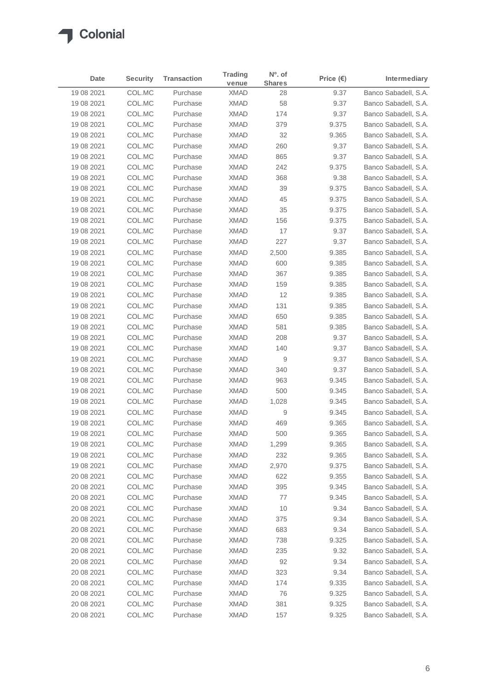|             |                 |                    | <b>Trading</b> | $No$ . of        |                    |                      |
|-------------|-----------------|--------------------|----------------|------------------|--------------------|----------------------|
| <b>Date</b> | <b>Security</b> | <b>Transaction</b> | venue          | <b>Shares</b>    | Price $(\epsilon)$ | Intermediary         |
| 19 08 2021  | COL.MC          | Purchase           | <b>XMAD</b>    | 28               | 9.37               | Banco Sabadell, S.A. |
| 19 08 2021  | COL.MC          | Purchase           | <b>XMAD</b>    | 58               | 9.37               | Banco Sabadell, S.A. |
| 19 08 2021  | COL.MC          | Purchase           | <b>XMAD</b>    | 174              | 9.37               | Banco Sabadell, S.A. |
| 19 08 2021  | COL.MC          | Purchase           | <b>XMAD</b>    | 379              | 9.375              | Banco Sabadell, S.A. |
| 19 08 2021  | COL.MC          | Purchase           | <b>XMAD</b>    | 32               | 9.365              | Banco Sabadell, S.A. |
| 19 08 2021  | COL.MC          | Purchase           | <b>XMAD</b>    | 260              | 9.37               | Banco Sabadell, S.A. |
| 19 08 2021  | COL.MC          | Purchase           | <b>XMAD</b>    | 865              | 9.37               | Banco Sabadell, S.A. |
| 19 08 2021  | COL.MC          | Purchase           | <b>XMAD</b>    | 242              | 9.375              | Banco Sabadell, S.A. |
| 19 08 2021  | COL.MC          | Purchase           | <b>XMAD</b>    | 368              | 9.38               | Banco Sabadell, S.A. |
| 19 08 2021  | COL.MC          | Purchase           | <b>XMAD</b>    | 39               | 9.375              | Banco Sabadell, S.A. |
| 19 08 2021  | COL.MC          | Purchase           | <b>XMAD</b>    | 45               | 9.375              | Banco Sabadell, S.A. |
| 19 08 2021  | COL.MC          | Purchase           | <b>XMAD</b>    | 35               | 9.375              | Banco Sabadell, S.A. |
| 19 08 2021  | COL.MC          | Purchase           | <b>XMAD</b>    | 156              | 9.375              | Banco Sabadell, S.A. |
| 19 08 2021  | COL.MC          | Purchase           | <b>XMAD</b>    | 17               | 9.37               | Banco Sabadell, S.A. |
| 19 08 2021  | COL.MC          | Purchase           | <b>XMAD</b>    | 227              | 9.37               | Banco Sabadell, S.A. |
| 19 08 2021  | COL.MC          | Purchase           | <b>XMAD</b>    | 2,500            | 9.385              | Banco Sabadell, S.A. |
| 19 08 2021  | COL.MC          | Purchase           | <b>XMAD</b>    | 600              | 9.385              | Banco Sabadell, S.A. |
| 19 08 2021  | COL.MC          | Purchase           | <b>XMAD</b>    | 367              | 9.385              | Banco Sabadell, S.A. |
| 19 08 2021  | COL.MC          | Purchase           | <b>XMAD</b>    | 159              | 9.385              | Banco Sabadell, S.A. |
| 19 08 2021  | COL.MC          | Purchase           | <b>XMAD</b>    | 12               | 9.385              | Banco Sabadell, S.A. |
| 19 08 2021  | COL.MC          | Purchase           | <b>XMAD</b>    | 131              | 9.385              | Banco Sabadell, S.A. |
| 19 08 2021  | COL.MC          | Purchase           | <b>XMAD</b>    | 650              | 9.385              | Banco Sabadell, S.A. |
| 19 08 2021  | COL.MC          | Purchase           | <b>XMAD</b>    | 581              | 9.385              | Banco Sabadell, S.A. |
| 19 08 2021  | COL.MC          | Purchase           | <b>XMAD</b>    | 208              | 9.37               | Banco Sabadell, S.A. |
| 19 08 2021  | COL.MC          | Purchase           | <b>XMAD</b>    | 140              | 9.37               | Banco Sabadell, S.A. |
| 19 08 2021  | COL.MC          | Purchase           | <b>XMAD</b>    | $\boldsymbol{9}$ | 9.37               | Banco Sabadell, S.A. |
| 19 08 2021  | COL.MC          | Purchase           | <b>XMAD</b>    | 340              | 9.37               | Banco Sabadell, S.A. |
| 19 08 2021  | COL.MC          | Purchase           | <b>XMAD</b>    | 963              | 9.345              | Banco Sabadell, S.A. |
| 19 08 2021  | COL.MC          | Purchase           | <b>XMAD</b>    | 500              | 9.345              | Banco Sabadell, S.A. |
| 19 08 2021  | COL.MC          | Purchase           | <b>XMAD</b>    | 1,028            | 9.345              | Banco Sabadell, S.A. |
| 19 08 2021  | COL.MC          | Purchase           | <b>XMAD</b>    | 9                | 9.345              | Banco Sabadell, S.A. |
| 19 08 2021  | COL.MC          | Purchase           | <b>XMAD</b>    | 469              | 9.365              | Banco Sabadell, S.A. |
| 19 08 2021  | COL.MC          | Purchase           | <b>XMAD</b>    | 500              | 9.365              | Banco Sabadell, S.A. |
| 19 08 2021  | COL.MC          | Purchase           | <b>XMAD</b>    | 1,299            | 9.365              | Banco Sabadell, S.A. |
| 19 08 2021  | COL.MC          | Purchase           | <b>XMAD</b>    | 232              | 9.365              | Banco Sabadell, S.A. |
| 19 08 2021  | COL.MC          | Purchase           | XMAD           | 2,970            | 9.375              | Banco Sabadell, S.A. |
| 20 08 2021  | COL.MC          | Purchase           | XMAD           | 622              | 9.355              | Banco Sabadell, S.A. |
| 20 08 2021  | COL.MC          | Purchase           | XMAD           | 395              | 9.345              | Banco Sabadell, S.A. |
| 20 08 2021  | COL.MC          | Purchase           | <b>XMAD</b>    | 77               | 9.345              | Banco Sabadell, S.A. |
| 20 08 2021  | COL.MC          | Purchase           | XMAD           | 10               | 9.34               | Banco Sabadell, S.A. |
| 20 08 2021  | COL.MC          | Purchase           | XMAD           | 375              | 9.34               | Banco Sabadell, S.A. |
| 20 08 2021  | COL.MC          | Purchase           | XMAD           | 683              | 9.34               | Banco Sabadell, S.A. |
| 20 08 2021  | COL.MC          | Purchase           | XMAD           | 738              | 9.325              | Banco Sabadell, S.A. |
| 20 08 2021  | COL.MC          | Purchase           | XMAD           | 235              | 9.32               | Banco Sabadell, S.A. |
| 20 08 2021  | COL.MC          | Purchase           | XMAD           | 92               | 9.34               | Banco Sabadell, S.A. |
| 20 08 2021  | COL.MC          | Purchase           | XMAD           | 323              | 9.34               | Banco Sabadell, S.A. |
| 20 08 2021  | COL.MC          | Purchase           | XMAD           | 174              | 9.335              | Banco Sabadell, S.A. |
| 20 08 2021  | COL.MC          | Purchase           | XMAD           | 76               | 9.325              | Banco Sabadell, S.A. |
| 20 08 2021  | COL.MC          | Purchase           | XMAD           | 381              | 9.325              | Banco Sabadell, S.A. |
| 20 08 2021  | COL.MC          | Purchase           | <b>XMAD</b>    | 157              | 9.325              | Banco Sabadell, S.A. |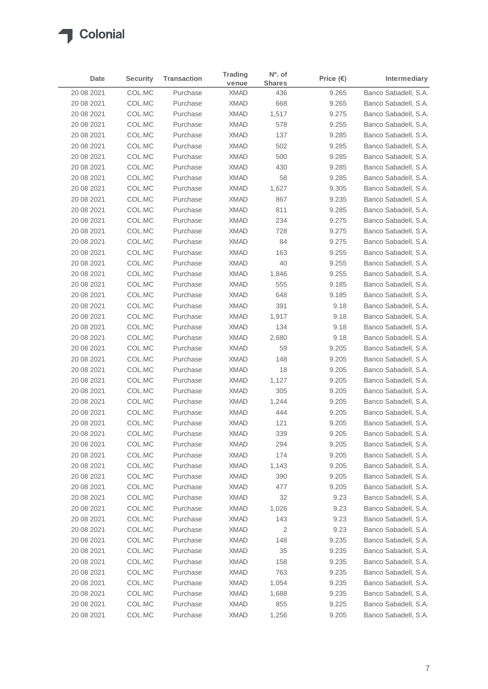# Colonial

| Date       | <b>Security</b> | <b>Transaction</b> | <b>Trading</b><br>venue | Nº. of<br><b>Shares</b> | Price $(\epsilon)$ | Intermediary         |
|------------|-----------------|--------------------|-------------------------|-------------------------|--------------------|----------------------|
| 20 08 2021 | COL.MC          | Purchase           | <b>XMAD</b>             | 436                     | 9.265              | Banco Sabadell, S.A. |
| 20 08 2021 | COL.MC          | Purchase           | <b>XMAD</b>             | 668                     | 9.265              | Banco Sabadell, S.A. |
| 20 08 2021 | COL.MC          | Purchase           | <b>XMAD</b>             | 1,517                   | 9.275              | Banco Sabadell, S.A. |
| 20 08 2021 | COL.MC          | Purchase           | <b>XMAD</b>             | 578                     | 9.255              | Banco Sabadell, S.A. |
| 20 08 2021 | COL.MC          | Purchase           | <b>XMAD</b>             | 137                     | 9.285              | Banco Sabadell, S.A. |
| 20 08 2021 | COL.MC          | Purchase           | <b>XMAD</b>             | 502                     | 9.285              | Banco Sabadell, S.A. |
| 20 08 2021 | COL.MC          | Purchase           | <b>XMAD</b>             | 500                     | 9.285              | Banco Sabadell, S.A. |
| 20 08 2021 | COL.MC          | Purchase           | <b>XMAD</b>             | 430                     | 9.285              | Banco Sabadell, S.A. |
| 20 08 2021 | COL.MC          | Purchase           | <b>XMAD</b>             | 58                      | 9.285              | Banco Sabadell, S.A. |
| 20 08 2021 | COL.MC          | Purchase           | <b>XMAD</b>             | 1,627                   | 9.305              | Banco Sabadell, S.A. |
| 20 08 2021 | COL.MC          | Purchase           | <b>XMAD</b>             | 867                     | 9.235              | Banco Sabadell, S.A. |
| 20 08 2021 | COL.MC          | Purchase           | <b>XMAD</b>             | 811                     | 9.285              | Banco Sabadell, S.A. |
| 20 08 2021 | COL.MC          | Purchase           | <b>XMAD</b>             | 234                     | 9.275              | Banco Sabadell, S.A. |
| 20 08 2021 | COL.MC          | Purchase           | <b>XMAD</b>             | 728                     | 9.275              | Banco Sabadell, S.A. |
| 20 08 2021 | COL.MC          | Purchase           | <b>XMAD</b>             | 84                      | 9.275              | Banco Sabadell, S.A. |
| 20 08 2021 | COL.MC          | Purchase           | <b>XMAD</b>             | 163                     | 9.255              | Banco Sabadell, S.A. |
| 20 08 2021 | COL.MC          | Purchase           | <b>XMAD</b>             | 40                      | 9.255              | Banco Sabadell, S.A. |
| 20 08 2021 | COL.MC          | Purchase           | <b>XMAD</b>             | 1,846                   | 9.255              | Banco Sabadell, S.A. |
| 20 08 2021 | COL.MC          | Purchase           | <b>XMAD</b>             | 555                     | 9.185              | Banco Sabadell, S.A. |
| 20 08 2021 | COL.MC          | Purchase           | <b>XMAD</b>             | 648                     | 9.185              | Banco Sabadell, S.A. |
| 20 08 2021 | COL.MC          | Purchase           | <b>XMAD</b>             | 391                     | 9.18               | Banco Sabadell, S.A. |
| 20 08 2021 | COL.MC          | Purchase           | <b>XMAD</b>             | 1,917                   | 9.18               | Banco Sabadell, S.A. |
| 20 08 2021 | COL.MC          | Purchase           | <b>XMAD</b>             | 134                     | 9.18               | Banco Sabadell, S.A. |
| 20 08 2021 | COL.MC          | Purchase           | <b>XMAD</b>             | 2,680                   | 9.18               | Banco Sabadell, S.A. |
| 20 08 2021 | COL.MC          | Purchase           | <b>XMAD</b>             | 59                      | 9.205              | Banco Sabadell, S.A. |
| 20 08 2021 | COL.MC          | Purchase           | <b>XMAD</b>             | 148                     | 9.205              | Banco Sabadell, S.A. |
| 20 08 2021 | COL.MC          | Purchase           | <b>XMAD</b>             | 18                      | 9.205              | Banco Sabadell, S.A. |
| 20 08 2021 | COL.MC          | Purchase           | <b>XMAD</b>             | 1,127                   | 9.205              | Banco Sabadell, S.A. |
| 20 08 2021 | COL.MC          | Purchase           | <b>XMAD</b>             | 305                     | 9.205              | Banco Sabadell, S.A. |
| 20 08 2021 | COL.MC          | Purchase           | <b>XMAD</b>             | 1,244                   | 9.205              | Banco Sabadell, S.A. |
| 20 08 2021 | COL.MC          | Purchase           | <b>XMAD</b>             | 444                     | 9.205              | Banco Sabadell, S.A. |
| 20 08 2021 | COL.MC          | Purchase           | <b>XMAD</b>             | 121                     | 9.205              | Banco Sabadell, S.A. |
| 20 08 2021 | COL.MC          | Purchase           | XMAD                    | 339                     | 9.205              | Banco Sabadell, S.A. |
| 20 08 2021 | COL.MC          | Purchase           | <b>XMAD</b>             | 294                     | 9.205              | Banco Sabadell, S.A. |
| 20 08 2021 | COL.MC          | Purchase           | <b>XMAD</b>             | 174                     | 9.205              | Banco Sabadell, S.A. |
| 20 08 2021 | COL.MC          | Purchase           | <b>XMAD</b>             | 1,143                   | 9.205              | Banco Sabadell, S.A. |
| 20 08 2021 | COL.MC          | Purchase           | <b>XMAD</b>             | 390                     | 9.205              | Banco Sabadell, S.A. |
| 20 08 2021 | COL.MC          | Purchase           | XMAD                    | 477                     | 9.205              | Banco Sabadell, S.A. |
| 20 08 2021 | COL.MC          | Purchase           | <b>XMAD</b>             | 32                      | 9.23               | Banco Sabadell, S.A. |
| 20 08 2021 | COL.MC          | Purchase           | <b>XMAD</b>             | 1,026                   | 9.23               | Banco Sabadell, S.A. |
| 20 08 2021 | COL.MC          | Purchase           | XMAD                    | 143                     | 9.23               | Banco Sabadell, S.A. |
| 20 08 2021 | COL.MC          | Purchase           | XMAD                    | 2                       | 9.23               | Banco Sabadell, S.A. |
| 20 08 2021 | COL.MC          | Purchase           | <b>XMAD</b>             | 148                     | 9.235              | Banco Sabadell, S.A. |
| 20 08 2021 | COL.MC          | Purchase           | <b>XMAD</b>             | 35                      | 9.235              | Banco Sabadell, S.A. |
| 20 08 2021 | COL.MC          | Purchase           | <b>XMAD</b>             | 158                     | 9.235              | Banco Sabadell, S.A. |
| 20 08 2021 | COL.MC          | Purchase           | <b>XMAD</b>             | 763                     | 9.235              | Banco Sabadell, S.A. |
| 20 08 2021 | COL.MC          | Purchase           | <b>XMAD</b>             | 1,054                   | 9.235              | Banco Sabadell, S.A. |
| 20 08 2021 | COL.MC          | Purchase           | <b>XMAD</b>             | 1,688                   | 9.235              | Banco Sabadell, S.A. |
| 20 08 2021 | COL.MC          | Purchase           | <b>XMAD</b>             | 855                     | 9.225              | Banco Sabadell, S.A. |
| 20 08 2021 | COL.MC          | Purchase           | <b>XMAD</b>             | 1,256                   | 9.205              | Banco Sabadell, S.A. |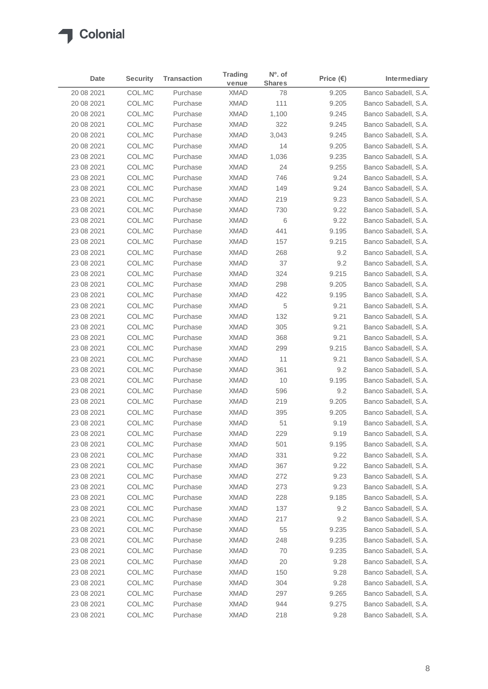### Colonial  $\blacktriangle$

| Date        | <b>Security</b> | <b>Transaction</b> | <b>Trading</b><br>venue | N <sup>o</sup> . of<br><b>Shares</b> | Price $(\epsilon)$ | Intermediary         |
|-------------|-----------------|--------------------|-------------------------|--------------------------------------|--------------------|----------------------|
| 20 08 2021  | COL.MC          | Purchase           | <b>XMAD</b>             | 78                                   | 9.205              | Banco Sabadell, S.A. |
| 20 08 2021  | COL.MC          | Purchase           | XMAD                    | 111                                  | 9.205              | Banco Sabadell, S.A. |
| 20 08 2021  | COL.MC          | Purchase           | <b>XMAD</b>             | 1,100                                | 9.245              | Banco Sabadell, S.A. |
| 20 08 20 21 | COL.MC          | Purchase           | <b>XMAD</b>             | 322                                  | 9.245              | Banco Sabadell, S.A. |
| 20 08 2021  | COL.MC          | Purchase           | <b>XMAD</b>             | 3,043                                | 9.245              | Banco Sabadell, S.A. |
| 20 08 2021  | COL.MC          | Purchase           | <b>XMAD</b>             | 14                                   | 9.205              | Banco Sabadell, S.A. |
| 23 08 2021  | COL.MC          | Purchase           | <b>XMAD</b>             | 1,036                                | 9.235              | Banco Sabadell, S.A. |
| 23 08 2021  | COL.MC          | Purchase           | <b>XMAD</b>             | 24                                   | 9.255              | Banco Sabadell, S.A. |
| 23 08 2021  | COL.MC          | Purchase           | <b>XMAD</b>             | 746                                  | 9.24               | Banco Sabadell, S.A. |
| 23 08 2021  | COL.MC          | Purchase           | <b>XMAD</b>             | 149                                  | 9.24               | Banco Sabadell, S.A. |
| 23 08 2021  | COL.MC          | Purchase           | <b>XMAD</b>             | 219                                  | 9.23               | Banco Sabadell, S.A. |
| 23 08 2021  | COL.MC          | Purchase           | <b>XMAD</b>             | 730                                  | 9.22               | Banco Sabadell, S.A. |
| 23 08 2021  | COL.MC          | Purchase           | <b>XMAD</b>             | 6                                    | 9.22               | Banco Sabadell, S.A. |
| 23 08 2021  | COL.MC          | Purchase           | <b>XMAD</b>             | 441                                  | 9.195              | Banco Sabadell, S.A. |
| 23 08 2021  | COL.MC          | Purchase           | <b>XMAD</b>             | 157                                  | 9.215              | Banco Sabadell, S.A. |
| 23 08 2021  | COL.MC          | Purchase           | <b>XMAD</b>             | 268                                  | 9.2                | Banco Sabadell, S.A. |
| 23 08 2021  | COL.MC          | Purchase           | <b>XMAD</b>             | 37                                   | 9.2                | Banco Sabadell, S.A. |
| 23 08 2021  | COL.MC          | Purchase           | <b>XMAD</b>             | 324                                  | 9.215              | Banco Sabadell, S.A. |
| 23 08 2021  | COL.MC          | Purchase           | <b>XMAD</b>             | 298                                  | 9.205              | Banco Sabadell, S.A. |
| 23 08 2021  | COL.MC          | Purchase           | <b>XMAD</b>             | 422                                  | 9.195              | Banco Sabadell, S.A. |
| 23 08 2021  | COL.MC          | Purchase           | <b>XMAD</b>             | 5                                    | 9.21               | Banco Sabadell, S.A. |
| 23 08 2021  | COL.MC          | Purchase           | <b>XMAD</b>             | 132                                  | 9.21               | Banco Sabadell, S.A. |
| 23 08 2021  | COL.MC          | Purchase           | <b>XMAD</b>             | 305                                  | 9.21               | Banco Sabadell, S.A. |
| 23 08 2021  | COL.MC          | Purchase           | <b>XMAD</b>             | 368                                  | 9.21               | Banco Sabadell, S.A. |
| 23 08 2021  | COL.MC          | Purchase           | <b>XMAD</b>             | 299                                  | 9.215              | Banco Sabadell, S.A. |
| 23 08 2021  | COL.MC          | Purchase           | <b>XMAD</b>             | 11                                   | 9.21               | Banco Sabadell, S.A. |
| 23 08 2021  | COL.MC          | Purchase           | <b>XMAD</b>             | 361                                  | 9.2                | Banco Sabadell, S.A. |
| 23 08 2021  | COL.MC          | Purchase           | <b>XMAD</b>             | 10                                   | 9.195              | Banco Sabadell, S.A. |
| 23 08 2021  | COL.MC          | Purchase           | <b>XMAD</b>             | 596                                  | 9.2                | Banco Sabadell, S.A. |
| 23 08 2021  | COL.MC          | Purchase           | <b>XMAD</b>             | 219                                  | 9.205              | Banco Sabadell, S.A. |
| 23 08 2021  | COL.MC          | Purchase           | <b>XMAD</b>             | 395                                  | 9.205              | Banco Sabadell, S.A. |
| 23 08 2021  | COL.MC          | Purchase           | <b>XMAD</b>             | 51                                   | 9.19               | Banco Sabadell, S.A. |
| 23 08 2021  | COL.MC          | Purchase           | XMAD                    | 229                                  | 9.19               | Banco Sabadell, S.A. |
| 23 08 2021  | COL.MC          | Purchase           | XMAD                    | 501                                  | 9.195              | Banco Sabadell, S.A. |
| 23 08 2021  | COL.MC          | Purchase           | XMAD                    | 331                                  | 9.22               | Banco Sabadell, S.A. |
| 23 08 2021  | COL.MC          | Purchase           | XMAD                    | 367                                  | 9.22               | Banco Sabadell, S.A. |
| 23 08 2021  | COL.MC          | Purchase           | XMAD                    | 272                                  | 9.23               | Banco Sabadell, S.A. |
| 23 08 2021  | COL.MC          | Purchase           | XMAD                    | 273                                  | 9.23               | Banco Sabadell, S.A. |
| 23 08 2021  | COL.MC          | Purchase           | XMAD                    | 228                                  | 9.185              | Banco Sabadell, S.A. |
| 23 08 2021  | COL.MC          | Purchase           | XMAD                    | 137                                  | 9.2                | Banco Sabadell, S.A. |
| 23 08 2021  | COL.MC          | Purchase           | XMAD                    | 217                                  | 9.2                | Banco Sabadell, S.A. |
| 23 08 2021  | COL.MC          | Purchase           | XMAD                    | 55                                   | 9.235              | Banco Sabadell, S.A. |
| 23 08 2021  | COL.MC          | Purchase           | XMAD                    | 248                                  | 9.235              | Banco Sabadell, S.A. |
| 23 08 2021  | COL.MC          | Purchase           | XMAD                    | 70                                   | 9.235              | Banco Sabadell, S.A. |
| 23 08 2021  | COL.MC          | Purchase           | XMAD                    | 20                                   | 9.28               | Banco Sabadell, S.A. |
| 23 08 2021  | COL.MC          | Purchase           | <b>XMAD</b>             | 150                                  | 9.28               | Banco Sabadell, S.A. |
| 23 08 2021  | COL.MC          | Purchase           | XMAD                    | 304                                  | 9.28               | Banco Sabadell, S.A. |
| 23 08 2021  | COL.MC          | Purchase           | XMAD                    | 297                                  | 9.265              | Banco Sabadell, S.A. |
| 23 08 2021  | COL.MC          | Purchase           | XMAD                    | 944                                  | 9.275              | Banco Sabadell, S.A. |
| 23 08 2021  | COL.MC          | Purchase           | XMAD                    | 218                                  | 9.28               | Banco Sabadell, S.A. |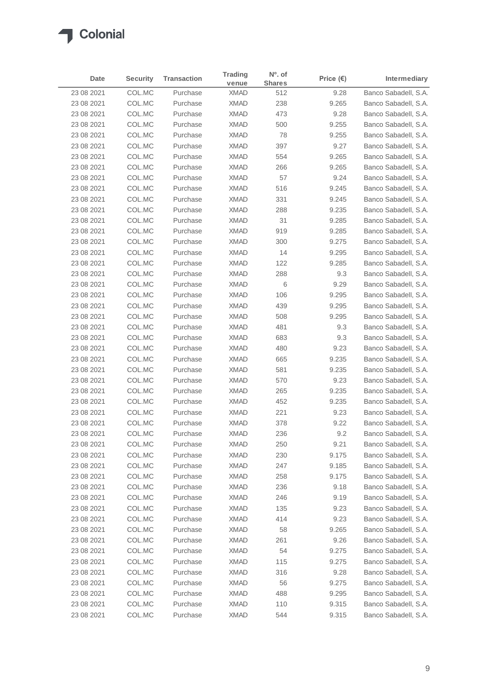### Colonial  $\blacktriangle$

| Date       | <b>Security</b> | <b>Transaction</b> | <b>Trading</b><br>venue | N <sup>o</sup> . of<br><b>Shares</b> | Price $(\epsilon)$ | Intermediary         |
|------------|-----------------|--------------------|-------------------------|--------------------------------------|--------------------|----------------------|
| 23 08 2021 | COL.MC          | Purchase           | <b>XMAD</b>             | 512                                  | 9.28               | Banco Sabadell, S.A. |
| 23 08 2021 | COL.MC          | Purchase           | XMAD                    | 238                                  | 9.265              | Banco Sabadell, S.A. |
| 23 08 2021 | COL.MC          | Purchase           | <b>XMAD</b>             | 473                                  | 9.28               | Banco Sabadell, S.A. |
| 23 08 2021 | COL.MC          | Purchase           | <b>XMAD</b>             | 500                                  | 9.255              | Banco Sabadell, S.A. |
| 23 08 2021 | COL.MC          | Purchase           | <b>XMAD</b>             | 78                                   | 9.255              | Banco Sabadell, S.A. |
| 23 08 2021 | COL.MC          | Purchase           | <b>XMAD</b>             | 397                                  | 9.27               | Banco Sabadell, S.A. |
| 23 08 2021 | COL.MC          | Purchase           | <b>XMAD</b>             | 554                                  | 9.265              | Banco Sabadell, S.A. |
| 23 08 2021 | COL.MC          | Purchase           | <b>XMAD</b>             | 266                                  | 9.265              | Banco Sabadell, S.A. |
| 23 08 2021 | COL.MC          | Purchase           | <b>XMAD</b>             | 57                                   | 9.24               | Banco Sabadell, S.A. |
| 23 08 2021 | COL.MC          | Purchase           | <b>XMAD</b>             | 516                                  | 9.245              | Banco Sabadell, S.A. |
| 23 08 2021 | COL.MC          | Purchase           | <b>XMAD</b>             | 331                                  | 9.245              | Banco Sabadell, S.A. |
| 23 08 2021 | COL.MC          | Purchase           | <b>XMAD</b>             | 288                                  | 9.235              | Banco Sabadell, S.A. |
| 23 08 2021 | COL.MC          | Purchase           | <b>XMAD</b>             | 31                                   | 9.285              | Banco Sabadell, S.A. |
| 23 08 2021 | COL.MC          | Purchase           | <b>XMAD</b>             | 919                                  | 9.285              | Banco Sabadell, S.A. |
| 23 08 2021 | COL.MC          | Purchase           | <b>XMAD</b>             | 300                                  | 9.275              | Banco Sabadell, S.A. |
| 23 08 2021 | COL.MC          | Purchase           | <b>XMAD</b>             | 14                                   | 9.295              | Banco Sabadell, S.A. |
| 23 08 2021 | COL.MC          | Purchase           | <b>XMAD</b>             | 122                                  | 9.285              | Banco Sabadell, S.A. |
| 23 08 2021 | COL.MC          | Purchase           | <b>XMAD</b>             | 288                                  | 9.3                | Banco Sabadell, S.A. |
| 23 08 2021 | COL.MC          | Purchase           | XMAD                    | 6                                    | 9.29               | Banco Sabadell, S.A. |
| 23 08 2021 | COL.MC          | Purchase           | <b>XMAD</b>             | 106                                  | 9.295              | Banco Sabadell, S.A. |
| 23 08 2021 | COL.MC          | Purchase           | <b>XMAD</b>             | 439                                  | 9.295              | Banco Sabadell, S.A. |
| 23 08 2021 | COL.MC          | Purchase           | XMAD                    | 508                                  | 9.295              | Banco Sabadell, S.A. |
| 23 08 2021 | COL.MC          | Purchase           | <b>XMAD</b>             | 481                                  | 9.3                | Banco Sabadell, S.A. |
| 23 08 2021 | COL.MC          | Purchase           | <b>XMAD</b>             | 683                                  | 9.3                | Banco Sabadell, S.A. |
| 23 08 2021 | COL.MC          | Purchase           | <b>XMAD</b>             | 480                                  | 9.23               | Banco Sabadell, S.A. |
| 23 08 2021 | COL.MC          | Purchase           | <b>XMAD</b>             | 665                                  | 9.235              | Banco Sabadell, S.A. |
| 23 08 2021 | COL.MC          | Purchase           | <b>XMAD</b>             | 581                                  | 9.235              | Banco Sabadell, S.A. |
| 23 08 2021 | COL.MC          | Purchase           | <b>XMAD</b>             | 570                                  | 9.23               | Banco Sabadell, S.A. |
| 23 08 2021 | COL.MC          | Purchase           | <b>XMAD</b>             | 265                                  | 9.235              | Banco Sabadell, S.A. |
| 23 08 2021 | COL.MC          | Purchase           | <b>XMAD</b>             | 452                                  | 9.235              | Banco Sabadell, S.A. |
| 23 08 2021 | COL.MC          | Purchase           | <b>XMAD</b>             | 221                                  | 9.23               | Banco Sabadell, S.A. |
| 23 08 2021 | COL.MC          | Purchase           | <b>XMAD</b>             | 378                                  | 9.22               | Banco Sabadell, S.A. |
| 23 08 2021 | COL.MC          | Purchase           | XMAD                    | 236                                  | 9.2                | Banco Sabadell, S.A. |
| 23 08 2021 | COL.MC          | Purchase           | XMAD                    | 250                                  | 9.21               | Banco Sabadell, S.A. |
| 23 08 2021 | COL.MC          | Purchase           | XMAD                    | 230                                  | 9.175              | Banco Sabadell, S.A. |
| 23 08 2021 | COL.MC          | Purchase           | XMAD                    | 247                                  | 9.185              | Banco Sabadell, S.A. |
| 23 08 2021 | COL.MC          | Purchase           | XMAD                    | 258                                  | 9.175              | Banco Sabadell, S.A. |
| 23 08 2021 | COL.MC          | Purchase           | XMAD                    | 236                                  | 9.18               | Banco Sabadell, S.A. |
| 23 08 2021 | COL.MC          | Purchase           | XMAD                    | 246                                  | 9.19               | Banco Sabadell, S.A. |
| 23 08 2021 | COL.MC          | Purchase           | XMAD                    | 135                                  | 9.23               | Banco Sabadell, S.A. |
| 23 08 2021 | COL.MC          | Purchase           | XMAD                    | 414                                  | 9.23               | Banco Sabadell, S.A. |
| 23 08 2021 | COL.MC          | Purchase           | XMAD                    | 58                                   | 9.265              | Banco Sabadell, S.A. |
| 23 08 2021 | COL.MC          | Purchase           | XMAD                    | 261                                  | 9.26               | Banco Sabadell, S.A. |
| 23 08 2021 | COL.MC          | Purchase           | XMAD                    | 54                                   | 9.275              | Banco Sabadell, S.A. |
| 23 08 2021 | COL.MC          | Purchase           | XMAD                    | 115                                  | 9.275              | Banco Sabadell, S.A. |
| 23 08 2021 | COL.MC          | Purchase           | XMAD                    | 316                                  | 9.28               | Banco Sabadell, S.A. |
| 23 08 2021 | COL.MC          | Purchase           | XMAD                    | 56                                   | 9.275              | Banco Sabadell, S.A. |
| 23 08 2021 | COL.MC          | Purchase           | XMAD                    | 488                                  | 9.295              | Banco Sabadell, S.A. |
| 23 08 2021 | COL.MC          | Purchase           | XMAD                    | 110                                  | 9.315              | Banco Sabadell, S.A. |
| 23 08 2021 | COL.MC          | Purchase           | XMAD                    | 544                                  | 9.315              | Banco Sabadell, S.A. |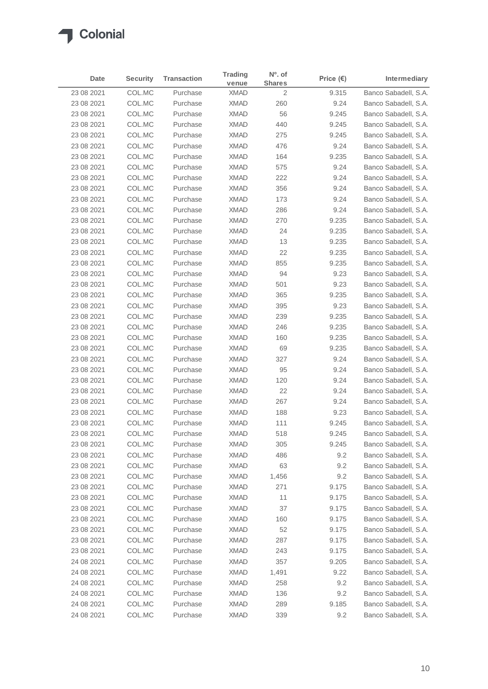### Colonial ◢

| Date       | <b>Security</b> | <b>Transaction</b> | <b>Trading</b><br>venue | Nº. of<br><b>Shares</b> | Price $(\epsilon)$ | Intermediary         |
|------------|-----------------|--------------------|-------------------------|-------------------------|--------------------|----------------------|
| 23 08 2021 | COL.MC          | Purchase           | <b>XMAD</b>             | $\overline{2}$          | 9.315              | Banco Sabadell, S.A. |
| 23 08 2021 | COL.MC          | Purchase           | XMAD                    | 260                     | 9.24               | Banco Sabadell, S.A. |
| 23 08 2021 | COL.MC          | Purchase           | <b>XMAD</b>             | 56                      | 9.245              | Banco Sabadell, S.A. |
| 23 08 2021 | COL.MC          | Purchase           | <b>XMAD</b>             | 440                     | 9.245              | Banco Sabadell, S.A. |
| 23 08 2021 | COL.MC          | Purchase           | <b>XMAD</b>             | 275                     | 9.245              | Banco Sabadell, S.A. |
| 23 08 2021 | COL.MC          | Purchase           | <b>XMAD</b>             | 476                     | 9.24               | Banco Sabadell, S.A. |
| 23 08 2021 | COL.MC          | Purchase           | <b>XMAD</b>             | 164                     | 9.235              | Banco Sabadell, S.A. |
| 23 08 2021 | COL.MC          | Purchase           | <b>XMAD</b>             | 575                     | 9.24               | Banco Sabadell, S.A. |
| 23 08 2021 | COL.MC          | Purchase           | <b>XMAD</b>             | 222                     | 9.24               | Banco Sabadell, S.A. |
| 23 08 2021 | COL.MC          | Purchase           | <b>XMAD</b>             | 356                     | 9.24               | Banco Sabadell, S.A. |
| 23 08 2021 | COL.MC          | Purchase           | <b>XMAD</b>             | 173                     | 9.24               | Banco Sabadell, S.A. |
| 23 08 2021 | COL.MC          | Purchase           | <b>XMAD</b>             | 286                     | 9.24               | Banco Sabadell, S.A. |
| 23 08 2021 | COL.MC          | Purchase           | <b>XMAD</b>             | 270                     | 9.235              | Banco Sabadell, S.A. |
| 23 08 2021 | COL.MC          | Purchase           | <b>XMAD</b>             | 24                      | 9.235              | Banco Sabadell, S.A. |
| 23 08 2021 | COL.MC          | Purchase           | <b>XMAD</b>             | 13                      | 9.235              | Banco Sabadell, S.A. |
| 23 08 2021 | COL.MC          | Purchase           | <b>XMAD</b>             | 22                      | 9.235              | Banco Sabadell, S.A. |
| 23 08 2021 | COL.MC          | Purchase           | <b>XMAD</b>             | 855                     | 9.235              | Banco Sabadell, S.A. |
| 23 08 2021 | COL.MC          | Purchase           | <b>XMAD</b>             | 94                      | 9.23               | Banco Sabadell, S.A. |
| 23 08 2021 | COL.MC          | Purchase           | <b>XMAD</b>             | 501                     | 9.23               | Banco Sabadell, S.A. |
| 23 08 2021 | COL.MC          | Purchase           | XMAD                    | 365                     | 9.235              | Banco Sabadell, S.A. |
| 23 08 2021 | COL.MC          | Purchase           | <b>XMAD</b>             | 395                     | 9.23               | Banco Sabadell, S.A. |
| 23 08 2021 | COL.MC          | Purchase           | <b>XMAD</b>             | 239                     | 9.235              | Banco Sabadell, S.A. |
| 23 08 2021 | COL.MC          | Purchase           | <b>XMAD</b>             | 246                     | 9.235              | Banco Sabadell, S.A. |
| 23 08 2021 | COL.MC          | Purchase           | <b>XMAD</b>             | 160                     | 9.235              | Banco Sabadell, S.A. |
| 23 08 2021 | COL.MC          | Purchase           | <b>XMAD</b>             | 69                      | 9.235              | Banco Sabadell, S.A. |
| 23 08 2021 | COL.MC          | Purchase           | XMAD                    | 327                     | 9.24               | Banco Sabadell, S.A. |
| 23 08 2021 | COL.MC          | Purchase           | <b>XMAD</b>             | 95                      | 9.24               | Banco Sabadell, S.A. |
| 23 08 2021 | COL.MC          | Purchase           | <b>XMAD</b>             | 120                     | 9.24               | Banco Sabadell, S.A. |
| 23 08 2021 | COL.MC          | Purchase           | <b>XMAD</b>             | 22                      | 9.24               | Banco Sabadell, S.A. |
| 23 08 2021 | COL.MC          | Purchase           | <b>XMAD</b>             | 267                     | 9.24               | Banco Sabadell, S.A. |
| 23 08 2021 | COL.MC          | Purchase           | <b>XMAD</b>             | 188                     | 9.23               | Banco Sabadell, S.A. |
| 23 08 2021 | COL.MC          | Purchase           | <b>XMAD</b>             | 111                     | 9.245              | Banco Sabadell, S.A. |
| 23 08 2021 | COL.MC          | Purchase           | <b>XMAD</b>             | 518                     | 9.245              | Banco Sabadell, S.A. |
| 23 08 2021 | COL.MC          | Purchase           | XMAD                    | 305                     | 9.245              | Banco Sabadell, S.A. |
| 23 08 2021 | COL.MC          | Purchase           | XMAD                    | 486                     | 9.2                | Banco Sabadell, S.A. |
| 23 08 2021 | COL.MC          | Purchase           | XMAD                    | 63                      | 9.2                | Banco Sabadell, S.A. |
| 23 08 2021 | COL.MC          | Purchase           | XMAD                    | 1,456                   | 9.2                | Banco Sabadell, S.A. |
| 23 08 2021 | COL.MC          | Purchase           | XMAD                    | 271                     | 9.175              | Banco Sabadell, S.A. |
| 23 08 2021 | COL.MC          | Purchase           | XMAD                    | 11                      | 9.175              | Banco Sabadell, S.A. |
| 23 08 2021 | COL.MC          | Purchase           | XMAD                    | 37                      | 9.175              | Banco Sabadell, S.A. |
| 23 08 2021 | COL.MC          | Purchase           | XMAD                    | 160                     | 9.175              | Banco Sabadell, S.A. |
| 23 08 2021 | COL.MC          | Purchase           | <b>XMAD</b>             | 52                      | 9.175              | Banco Sabadell, S.A. |
| 23 08 2021 | COL.MC          | Purchase           | XMAD                    | 287                     | 9.175              | Banco Sabadell, S.A. |
| 23 08 2021 | COL.MC          | Purchase           | XMAD                    | 243                     | 9.175              | Banco Sabadell, S.A. |
| 24 08 2021 | COL.MC          | Purchase           | <b>XMAD</b>             | 357                     | 9.205              | Banco Sabadell, S.A. |
| 24 08 2021 | COL.MC          | Purchase           | <b>XMAD</b>             | 1,491                   | 9.22               | Banco Sabadell, S.A. |
| 24 08 2021 | COL.MC          | Purchase           | XMAD                    | 258                     | 9.2                | Banco Sabadell, S.A. |
| 24 08 2021 | COL.MC          | Purchase           | <b>XMAD</b>             | 136                     | 9.2                | Banco Sabadell, S.A. |
| 24 08 2021 | COL.MC          | Purchase           | <b>XMAD</b>             | 289                     | 9.185              | Banco Sabadell, S.A. |
| 24 08 2021 | COL.MC          | Purchase           | XMAD                    | 339                     | 9.2                | Banco Sabadell, S.A. |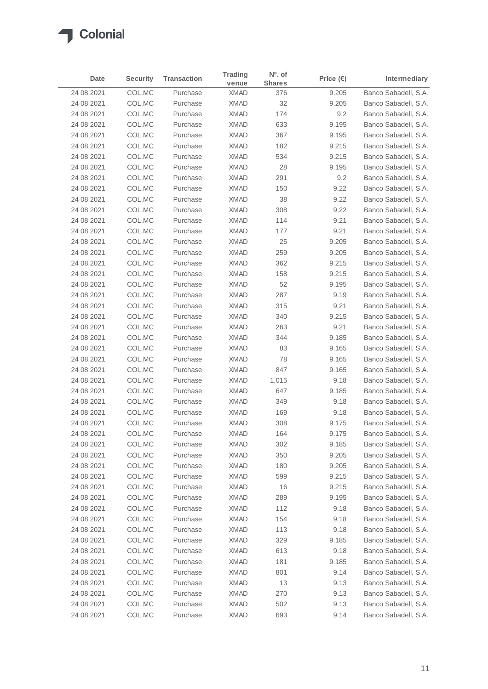| Date       | <b>Security</b> | <b>Transaction</b> | Trading     | $No$ . of     | Price $(\epsilon)$ | Intermediary         |
|------------|-----------------|--------------------|-------------|---------------|--------------------|----------------------|
|            |                 |                    | venue       | <b>Shares</b> |                    |                      |
| 24 08 2021 | COL.MC          | Purchase           | <b>XMAD</b> | 376           | 9.205              | Banco Sabadell, S.A. |
| 24 08 2021 | COL.MC          | Purchase           | <b>XMAD</b> | 32            | 9.205              | Banco Sabadell, S.A. |
| 24 08 2021 | COL.MC          | Purchase           | <b>XMAD</b> | 174           | 9.2                | Banco Sabadell, S.A. |
| 24 08 2021 | COL.MC          | Purchase           | <b>XMAD</b> | 633           | 9.195              | Banco Sabadell, S.A. |
| 24 08 2021 | COL.MC          | Purchase           | <b>XMAD</b> | 367           | 9.195              | Banco Sabadell, S.A. |
| 24 08 2021 | COL.MC          | Purchase           | <b>XMAD</b> | 182           | 9.215              | Banco Sabadell, S.A. |
| 24 08 2021 | COL.MC          | Purchase           | <b>XMAD</b> | 534           | 9.215              | Banco Sabadell, S.A. |
| 24 08 2021 | COL.MC          | Purchase           | <b>XMAD</b> | 28            | 9.195              | Banco Sabadell, S.A. |
| 24 08 2021 | COL.MC          | Purchase           | <b>XMAD</b> | 291           | 9.2                | Banco Sabadell, S.A. |
| 24 08 2021 | COL.MC          | Purchase           | <b>XMAD</b> | 150           | 9.22               | Banco Sabadell, S.A. |
| 24 08 2021 | COL.MC          | Purchase           | <b>XMAD</b> | 38            | 9.22               | Banco Sabadell, S.A. |
| 24 08 2021 | COL.MC          | Purchase           | <b>XMAD</b> | 308           | 9.22               | Banco Sabadell, S.A. |
| 24 08 2021 | COL.MC          | Purchase           | <b>XMAD</b> | 114           | 9.21               | Banco Sabadell, S.A. |
| 24 08 2021 | COL.MC          | Purchase           | <b>XMAD</b> | 177           | 9.21               | Banco Sabadell, S.A. |
| 24 08 2021 | COL.MC          | Purchase           | <b>XMAD</b> | 25            | 9.205              | Banco Sabadell, S.A. |
| 24 08 2021 | COL.MC          | Purchase           | <b>XMAD</b> | 259           | 9.205              | Banco Sabadell, S.A. |
| 24 08 2021 | COL.MC          | Purchase           | <b>XMAD</b> | 362           | 9.215              | Banco Sabadell, S.A. |
| 24 08 2021 | COL.MC          | Purchase           | <b>XMAD</b> | 158           | 9.215              | Banco Sabadell, S.A. |
| 24 08 2021 | COL.MC          | Purchase           | <b>XMAD</b> | 52            | 9.195              | Banco Sabadell, S.A. |
| 24 08 2021 | COL.MC          | Purchase           | <b>XMAD</b> | 287           | 9.19               | Banco Sabadell, S.A. |
| 24 08 2021 | COL.MC          | Purchase           | <b>XMAD</b> | 315           | 9.21               | Banco Sabadell, S.A. |
| 24 08 2021 | COL.MC          | Purchase           | <b>XMAD</b> | 340           | 9.215              | Banco Sabadell, S.A. |
| 24 08 2021 | COL.MC          | Purchase           | <b>XMAD</b> | 263           | 9.21               | Banco Sabadell, S.A. |
| 24 08 2021 | COL.MC          | Purchase           | <b>XMAD</b> | 344           | 9.185              | Banco Sabadell, S.A. |
| 24 08 2021 | COL.MC          | Purchase           | <b>XMAD</b> | 83            | 9.165              | Banco Sabadell, S.A. |
| 24 08 2021 | COL.MC          | Purchase           | <b>XMAD</b> | 78            | 9.165              | Banco Sabadell, S.A. |
| 24 08 2021 | COL.MC          | Purchase           | <b>XMAD</b> | 847           | 9.165              | Banco Sabadell, S.A. |
| 24 08 2021 | COL.MC          | Purchase           | <b>XMAD</b> | 1,015         | 9.18               | Banco Sabadell, S.A. |
| 24 08 2021 | COL.MC          | Purchase           | <b>XMAD</b> | 647           | 9.185              | Banco Sabadell, S.A. |
| 24 08 2021 | COL.MC          | Purchase           | <b>XMAD</b> | 349           | 9.18               | Banco Sabadell, S.A. |
| 24 08 2021 | COL.MC          | Purchase           | <b>XMAD</b> | 169           | 9.18               | Banco Sabadell, S.A. |
| 24 08 2021 | COL.MC          | Purchase           | <b>XMAD</b> | 308           | 9.175              | Banco Sabadell, S.A. |
| 24 08 2021 | COL.MC          | Purchase           | <b>XMAD</b> | 164           | 9.175              | Banco Sabadell, S.A. |
| 24 08 2021 | COL.MC          | Purchase           | XMAD        | 302           | 9.185              | Banco Sabadell, S.A. |
| 24 08 2021 | COL.MC          | Purchase           | XMAD        | 350           | 9.205              | Banco Sabadell, S.A. |
| 24 08 2021 | COL.MC          | Purchase           | XMAD        | 180           | 9.205              | Banco Sabadell, S.A. |
| 24 08 2021 | COL.MC          | Purchase           | XMAD        | 599           | 9.215              | Banco Sabadell, S.A. |
| 24 08 2021 | COL.MC          | Purchase           | XMAD        | 16            | 9.215              | Banco Sabadell, S.A. |
| 24 08 2021 | COL.MC          | Purchase           | XMAD        | 289           | 9.195              | Banco Sabadell, S.A. |
| 24 08 2021 | COL.MC          | Purchase           | XMAD        | 112           | 9.18               | Banco Sabadell, S.A. |
| 24 08 2021 | COL.MC          | Purchase           | XMAD        | 154           | 9.18               | Banco Sabadell, S.A. |
| 24 08 2021 | COL.MC          | Purchase           | <b>XMAD</b> | 113           | 9.18               | Banco Sabadell, S.A. |
| 24 08 2021 | COL.MC          | Purchase           | XMAD        | 329           | 9.185              | Banco Sabadell, S.A. |
| 24 08 2021 | COL.MC          | Purchase           | XMAD        | 613           | 9.18               | Banco Sabadell, S.A. |
| 24 08 2021 | COL.MC          | Purchase           | <b>XMAD</b> | 181           | 9.185              | Banco Sabadell, S.A. |
| 24 08 2021 | COL.MC          | Purchase           | XMAD        | 801           | 9.14               | Banco Sabadell, S.A. |
| 24 08 2021 | COL.MC          | Purchase           | XMAD        | 13            | 9.13               | Banco Sabadell, S.A. |
| 24 08 2021 | COL.MC          | Purchase           | XMAD        | 270           | 9.13               | Banco Sabadell, S.A. |
| 24 08 2021 | COL.MC          | Purchase           | XMAD        | 502           | 9.13               | Banco Sabadell, S.A. |
| 24 08 2021 | COL.MC          | Purchase           | XMAD        | 693           | 9.14               | Banco Sabadell, S.A. |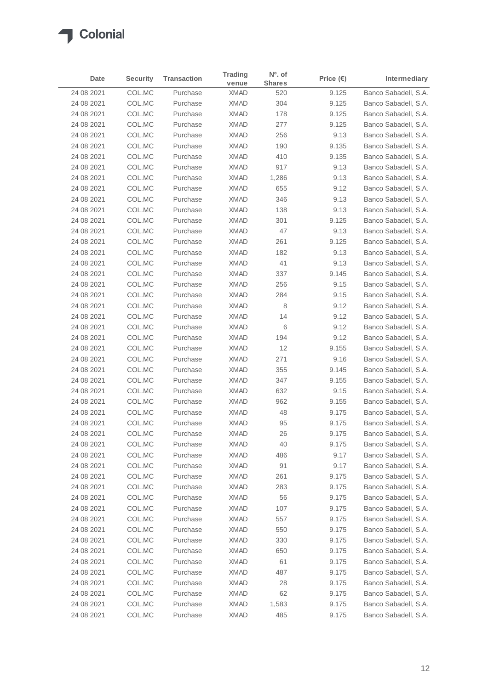### Colonial  $\sqrt{2}$

| Date       | <b>Security</b> | <b>Transaction</b> | Trading     | $No$ . of     | Price $(\epsilon)$ | <b>Intermediary</b>  |
|------------|-----------------|--------------------|-------------|---------------|--------------------|----------------------|
|            |                 |                    | venue       | <b>Shares</b> |                    |                      |
| 24 08 2021 | COL.MC          | Purchase           | <b>XMAD</b> | 520           | 9.125              | Banco Sabadell, S.A. |
| 24 08 2021 | COL.MC          | Purchase           | <b>XMAD</b> | 304           | 9.125              | Banco Sabadell, S.A. |
| 24 08 2021 | COL.MC          | Purchase           | <b>XMAD</b> | 178           | 9.125              | Banco Sabadell, S.A. |
| 24 08 2021 | COL.MC          | Purchase           | <b>XMAD</b> | 277           | 9.125              | Banco Sabadell, S.A. |
| 24 08 2021 | COL.MC          | Purchase           | <b>XMAD</b> | 256           | 9.13               | Banco Sabadell, S.A. |
| 24 08 2021 | COL.MC          | Purchase           | <b>XMAD</b> | 190           | 9.135              | Banco Sabadell, S.A. |
| 24 08 2021 | COL.MC          | Purchase           | <b>XMAD</b> | 410           | 9.135              | Banco Sabadell, S.A. |
| 24 08 2021 | COL.MC          | Purchase           | <b>XMAD</b> | 917           | 9.13               | Banco Sabadell, S.A. |
| 24 08 2021 | COL.MC          | Purchase           | <b>XMAD</b> | 1,286         | 9.13               | Banco Sabadell, S.A. |
| 24 08 2021 | COL.MC          | Purchase           | <b>XMAD</b> | 655           | 9.12               | Banco Sabadell, S.A. |
| 24 08 2021 | COL.MC          | Purchase           | <b>XMAD</b> | 346           | 9.13               | Banco Sabadell, S.A. |
| 24 08 2021 | COL.MC          | Purchase           | <b>XMAD</b> | 138           | 9.13               | Banco Sabadell, S.A. |
| 24 08 2021 | COL.MC          | Purchase           | <b>XMAD</b> | 301           | 9.125              | Banco Sabadell, S.A. |
| 24 08 2021 | COL.MC          | Purchase           | <b>XMAD</b> | 47            | 9.13               | Banco Sabadell, S.A. |
| 24 08 2021 | COL.MC          | Purchase           | <b>XMAD</b> | 261           | 9.125              | Banco Sabadell, S.A. |
| 24 08 2021 | COL.MC          | Purchase           | <b>XMAD</b> | 182           | 9.13               | Banco Sabadell, S.A. |
| 24 08 2021 | COL.MC          | Purchase           | <b>XMAD</b> | 41            | 9.13               | Banco Sabadell, S.A. |
| 24 08 2021 | COL.MC          | Purchase           | <b>XMAD</b> | 337           | 9.145              | Banco Sabadell, S.A. |
| 24 08 2021 | COL.MC          | Purchase           | <b>XMAD</b> | 256           | 9.15               | Banco Sabadell, S.A. |
| 24 08 2021 | COL.MC          | Purchase           | <b>XMAD</b> | 284           | 9.15               | Banco Sabadell, S.A. |
| 24 08 2021 | COL.MC          | Purchase           | <b>XMAD</b> | 8             | 9.12               | Banco Sabadell, S.A. |
| 24 08 2021 | COL.MC          | Purchase           | <b>XMAD</b> | 14            | 9.12               | Banco Sabadell, S.A. |
| 24 08 2021 | COL.MC          | Purchase           | <b>XMAD</b> | 6             | 9.12               | Banco Sabadell, S.A. |
| 24 08 2021 | COL.MC          | Purchase           | <b>XMAD</b> | 194           | 9.12               | Banco Sabadell, S.A. |
| 24 08 2021 | COL.MC          | Purchase           | <b>XMAD</b> | 12            | 9.155              | Banco Sabadell, S.A. |
| 24 08 2021 | COL.MC          | Purchase           | <b>XMAD</b> | 271           | 9.16               | Banco Sabadell, S.A. |
| 24 08 2021 | COL.MC          | Purchase           | <b>XMAD</b> | 355           | 9.145              | Banco Sabadell, S.A. |
| 24 08 2021 | COL.MC          | Purchase           | <b>XMAD</b> | 347           | 9.155              | Banco Sabadell, S.A. |
| 24 08 2021 | COL.MC          | Purchase           | <b>XMAD</b> | 632           | 9.15               | Banco Sabadell, S.A. |
| 24 08 2021 | COL.MC          | Purchase           | <b>XMAD</b> | 962           | 9.155              | Banco Sabadell, S.A. |
| 24 08 2021 | COL.MC          | Purchase           | <b>XMAD</b> | 48            | 9.175              | Banco Sabadell, S.A. |
| 24 08 2021 | COL.MC          | Purchase           | <b>XMAD</b> | 95            | 9.175              | Banco Sabadell, S.A. |
| 24 08 2021 | COL.MC          | Purchase           | <b>XMAD</b> | 26            | 9.175              | Banco Sabadell, S.A. |
| 24 08 2021 | COL.MC          | Purchase           | XMAD        | 40            | 9.175              | Banco Sabadell, S.A. |
| 24 08 2021 | COL.MC          | Purchase           | XMAD        | 486           | 9.17               | Banco Sabadell, S.A. |
| 24 08 2021 | COL.MC          | Purchase           | XMAD        | 91            | 9.17               | Banco Sabadell, S.A. |
| 24 08 2021 | COL.MC          | Purchase           | XMAD        | 261           | 9.175              | Banco Sabadell, S.A. |
| 24 08 2021 | COL.MC          | Purchase           | XMAD        | 283           | 9.175              | Banco Sabadell, S.A. |
| 24 08 2021 | COL.MC          | Purchase           | XMAD        | 56            | 9.175              | Banco Sabadell, S.A. |
| 24 08 2021 | COL.MC          | Purchase           | XMAD        | 107           | 9.175              | Banco Sabadell, S.A. |
| 24 08 2021 | COL.MC          | Purchase           | XMAD        | 557           | 9.175              | Banco Sabadell, S.A. |
| 24 08 2021 | COL.MC          | Purchase           | XMAD        | 550           | 9.175              | Banco Sabadell, S.A. |
| 24 08 2021 | COL.MC          | Purchase           | XMAD        | 330           | 9.175              | Banco Sabadell, S.A. |
| 24 08 2021 | COL.MC          | Purchase           | XMAD        | 650           | 9.175              | Banco Sabadell, S.A. |
| 24 08 2021 | COL.MC          | Purchase           | XMAD        | 61            | 9.175              | Banco Sabadell, S.A. |
| 24 08 2021 | COL.MC          | Purchase           | XMAD        | 487           | 9.175              | Banco Sabadell, S.A. |
| 24 08 2021 | COL.MC          | Purchase           | XMAD        | 28            | 9.175              | Banco Sabadell, S.A. |
| 24 08 2021 | COL.MC          | Purchase           | XMAD        | 62            | 9.175              | Banco Sabadell, S.A. |
| 24 08 2021 | COL.MC          | Purchase           | XMAD        | 1,583         | 9.175              | Banco Sabadell, S.A. |
| 24 08 2021 | COL.MC          | Purchase           | XMAD        | 485           | 9.175              | Banco Sabadell, S.A. |